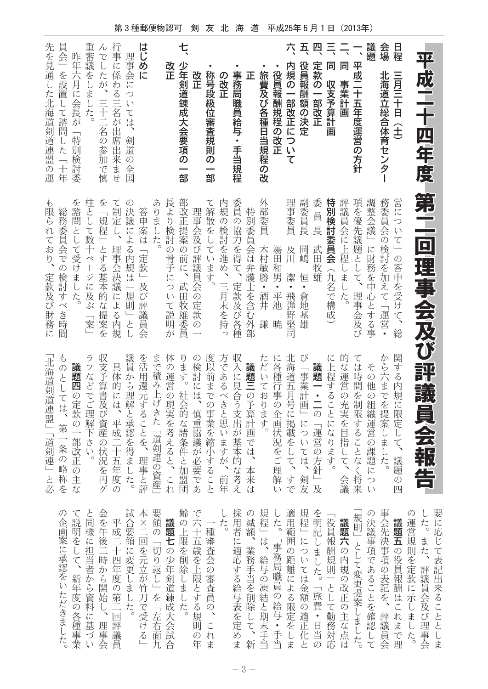第3種郵便物認可 剣 友 北 海 道 平成25年5月1日 (2013年)

| 9 <mark>2</mark><br>T<br>成二十四年度             | 第<br>二<br> 回理事会及び                             | 評議員会報告                                 | 要に<br>した           |
|---------------------------------------------|-----------------------------------------------|----------------------------------------|--------------------|
|                                             |                                               |                                        | $\mathcal{O}$<br>運 |
| 日程<br>三月三十日(土)                              | 営について」の答申を受けて、総                               | 関<br>する内規に限定して、議題<br>の四                |                    |
| 会場<br>北海道立総合体育センター                          | 務委員会<br>の検討を加えて「運営·                           | か<br>ら六までを提案<br>しました。                  | 事会                 |
| 議題                                          | 調整会議<br>」に財務を中心とする事                           | その<br>他<br>の組織運営の課題に<br>っい             | の決                 |
| 平成二十五年度運営の方針                                | 項を優先議題として、<br>理事会及び                           | $\tau$<br>こは時間<br>を制限することなく将来          | 規則                 |
| 同<br>事業計画                                   | 評議員会に上程<br>しました。                              | 的<br>な運営の充実を目指<br>こして、<br>会議           | 議                  |
| 특<br>同<br>収支予算計<br>画                        | 特別検討<br><b>i委員会</b><br>(九名で構成                 | に上程することになります。                          | 役                  |
| 四<br>定款の一部改正                                | 委<br>員長<br>武田<br>牧雄                           | 議題一・二の「運営の方針」及                         | を明                 |
| $\overline{\mathbf{H}}$<br>役員報酬額の決定         | 副委員長<br>岡嶋<br>恒<br>• 倉<br>地<br>基<br>雄         | び<br>「事業計画」については、<br>剣友                | 規程                 |
| 六<br>内規の一部改正につい<br>$\dot{\overline{\zeta}}$ | 理事委員<br>及川<br>潔<br>•飛彈<br>野堅<br>司             | 北<br>海道五月号に掲載をして、すで                    | 適用                 |
| 役員報酬規程の改正                                   | 湯田<br>和男<br>○ ・平池<br>暁                        | に各種行<br>事の企画状況をご理解<br>$\iota$          | L                  |
| 旅費及び各種日当規程の改                                | 外部委員<br>木村敏勝<br>∞•酒井<br>謙                     | た<br>だいております。                          | 規程                 |
| 正                                           | 特別委員会は弁護士を含む外部                                | 議題三の予算計<br>画<br>では、本来<br>は             | の減                 |
| 事務局職員給与・手当規程                                | 委員<br>「の協力を得て、定款及び各種                          | 収入に見合う支出が基本的な考え                        | 一た用                |
| の改正                                         | 内規<br>の検討を進め、三月末を持っ                           | 方であるべきと思いますが、<br>前<br>年                |                    |
| 称号段級位審査規則<br>$\bar{\sigma}$<br>—<br>部       | て解散をしています。                                    | 度以前までの事業を縮小すること                        |                    |
| 改正                                          | 理<br>事会及び評議員会の定款<br>$\frac{1}{2}$             | の検討には、<br>慎重協議が必要であ                    | で六                 |
| セ<br>少年剣道錬成大会要項の<br>部                       | 部改<br>正提案の前に、<br>武田牧雄委員                       | ります。社会的な諸条件と加盟団                        | 齢の                 |
| 改<br>正                                      | 長より検討の骨子について説<br>明が                           | 体<br>の運営の現実を考えると、これ                    | 議                  |
|                                             | ありました。                                        | まで積み上げきた「道剣連の資産」                       | 要領                 |
| はじめに                                        | 答申案は<br>「定款」及び評議員<br>会                        | を活用還元することを、理事と評                        | 本<br>×             |
| 理事会については、<br>剣道<br>)の全国                     | の<br>決議による内規は<br>「規則」とし                       | 議員から理解と承認を得ました。                        |                    |
| 行<br>事に係わる三名が出<br>席出来<br>尘ませ                | て<br>制定し、<br>理事会決議による内規                       | 具体的には、平成二<br>干五<br>年度<br>$\mathcal{O}$ | 平盒                 |
| h<br>でしたが、三十二名の参加<br>で慎                     | を<br>規程」とする基本的な提案を                            | 収支予算書及び資産の状況を円<br>ゲ                    | 会を                 |
| 重<br>一審議<br>をしました。                          | 柱として数十ページに及ぶ<br>$\overline{\phantom{0}}$<br>案 | ラ<br>フなどでご理解下さい。                       | と同                 |
| 昨年六月に会長が「特別検討委                              | を諮問として受けました。                                  | 議題四の定款の一部改正の主<br>$\overline{t}$        | て説                 |
| 員<br>会」を設置して諮問<br>した<br>一十年                 | 総務委員会での検討すべき時<br>間                            | Þ<br>のとしては、第一条の略称を                     | の企                 |
| 先<br>を見通し<br>た北海道剣道連盟の<br>運                 | も限られており、<br>定款及び財務に                           | 北海道剣道連盟」「道剣連」と必                        |                    |

| 画      | 説<br>明             |    |         | 『様午成要二の <del>』</del><br>『様午成要二の』 |        |             |                      |                     | 上      | の六一<br>$+$         | 種                  | 用<br>者 | 減          | 程   | た               | 用<br>額」。範一 | 程        | 明 | 役<br>記員 | 議 則 | 決議 | 会先                                              | 議題                                                                                               |   | 運たに<br>営 。応 |        |
|--------|--------------------|----|---------|----------------------------------|--------|-------------|----------------------|---------------------|--------|--------------------|--------------------|--------|------------|-----|-----------------|------------|----------|---|---------|-----|----|-------------------------------------------------|--------------------------------------------------------------------------------------------------|---|-------------|--------|
| 案      | ^を.<br>にし          | に  | 後<br>担二 | $\equiv$                         | 領<br>に | $\Box$<br>を | 切                    | 一七<br>$\mathcal{D}$ | 限<br>を | Ŧi<br>歳            | 審<br>査             | 適      | 業          | は   |                 |            |          |   |         |     |    |                                                 | の則                                                                                               | 規 | ま<br>た      | $\tau$ |
| 承      | 、当時四の<br>、者から      |    |         | $\pm$                            | 変      | 元           |                      | り少                  | 削      | を                  | 会                  | 応      | 務          | 給   |                 |            |          |   |         |     |    |                                                 |                                                                                                  |   | を、<br>定評    | 表      |
| 認<br>を | 新                  |    | から度     |                                  | U      | 年更立<br>が    | 返<br>$\Delta$ $\Box$ | 年<br>剣              | 除      | −h.<br>限           | $\mathcal{O}$<br>審 |        | る当の        | す手与 |                 |            |          |   |         |     |    |                                                 |                                                                                                  | 款 | 議           | 記<br>出 |
|        | 年                  |    | ら開      |                                  |        | のま竹」道       |                      |                     |        | まと                 | 査                  | 給      | を          | 凍   |                 |            |          |   |         |     |    |                                                 | 「事務™では金額、「事務™では金額、「事務™では金額、「旅費」としてかった。「旅費」としていいましたのみです!」としてあることを、これにしてあることを、これにしてあることを、これにしています。 | に | 員           | 来      |
| た<br>だ | 度<br>$\mathcal{O}$ | 料  | - U     | 資始第<br>$\equiv$                  |        | し刀<br>たで    | * を                  | 錬<br>一成             | た      | す<br>る             | 員<br>$\mathcal{O}$ | 与      | 削<br>表 除 と | 結   |                 |            |          |   |         |     |    |                                                 |                                                                                                  | 示 | 会る<br>及     |        |
| きま     | 各種                 |    |         | に 回                              |        | 。受          | 左                    | 大                   |        | 規                  |                    |        | をし         | 期   |                 | 与定         | 適        |   |         |     |    | w 勤務などをしょう こうしょう こうしょう しょうしょう こうしょう こうしょう こうしょう | 確評れ                                                                                              | ま | びと          |        |
|        |                    | 基理 |         | 評<br>事づ事議                        |        | け右<br>る面    |                      | 会<br>試              |        | 則<br>$\mathcal{O}$ | れ                  | 定      | め、手        | 末   | $\bullet$<br>手し |            | を正日<br>化 |   |         |     |    |                                                 | まし<br>で                                                                                          | た | 理<br>事      | بملح   |
|        | た業                 |    |         | い会員                              |        |             | 一九合                  |                     |        | 年ま                 |                    |        | ま新         |     | 当当              | ま          | と        |   |         |     |    |                                                 | 理                                                                                                |   | 会           | ま      |